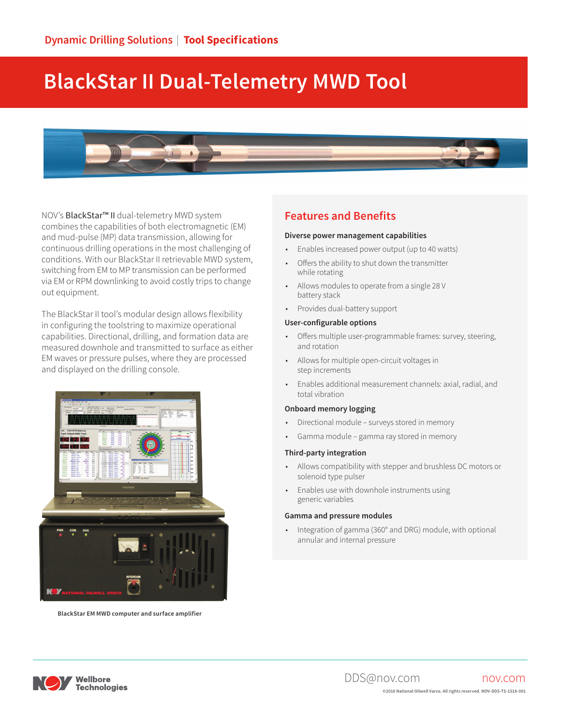# **BlackStar II Dual-Telemetry MWD Tool**



NOV's BlackStar<sup>™</sup> II dual-telemetry MWD system combines the capabilities of both electromagnetic (EM) and mud-pulse (MP) data transmission, allowing for continuous drilling operations in the most challenging of conditions. With our BlackStar II retrievable MWD system, switching from EM to MP transmission can be performed via EM or RPM downlinking to avoid costly trips to change out equipment.

The BlackStar II tool's modular design allows flexibility in configuring the toolstring to maximize operational capabilities. Directional, drilling, and formation data are measured downhole and transmitted to surface as either EM waves or pressure pulses, where they are processed and displayed on the drilling console.



**BlackStar EM MWD computer and surface amplifier**

#### **Features and Benefits**

#### **Diverse power management capabilities**

- Enables increased power output (up to 40 watts)
- Offers the ability to shut down the transmitter while rotating
- Allows modules to operate from a single 28 V battery stack
- Provides dual-battery support

#### **User-configurable options**

- Offers multiple user-programmable frames: survey, steering, and rotation
- Allows for multiple open-circuit voltages in step increments
- Enables additional measurement channels: axial, radial, and total vibration

#### **Onboard memory logging**

- Directional module surveys stored in memory
- Gamma module gamma ray stored in memory

#### **Third-party integration**

- Allows compatibility with stepper and brushless DC motors or solenoid type pulser
- Enables use with downhole instruments using generic variables

#### **Gamma and pressure modules**

• Integration of gamma (360° and DRG) module, with optional annular and internal pressure

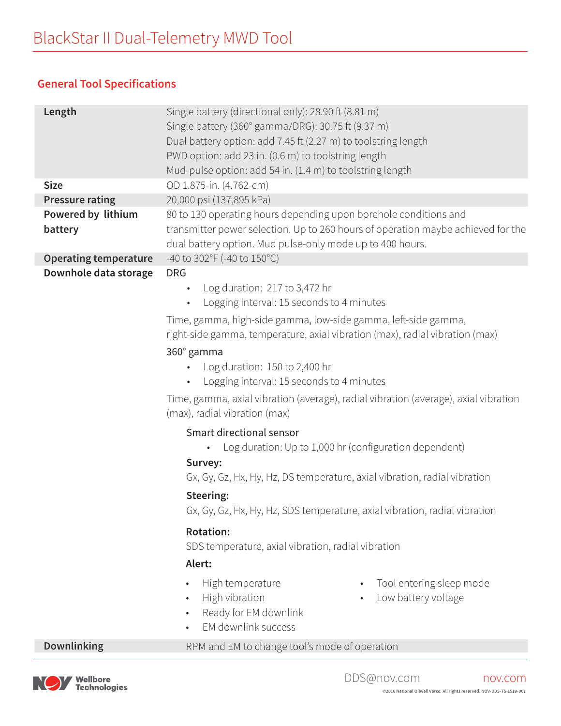# **General Tool Specifications**

| Length                        | Single battery (directional only): 28.90 ft (8.81 m)<br>Single battery (360° gamma/DRG): 30.75 ft (9.37 m)<br>Dual battery option: add 7.45 ft (2.27 m) to toolstring length<br>PWD option: add 23 in. (0.6 m) to toolstring length<br>Mud-pulse option: add 54 in. (1.4 m) to toolstring length                                                                                                                                                                                                                                                                                                                                                                                                                                                                                                                                                                                                                                                                         |  |  |
|-------------------------------|--------------------------------------------------------------------------------------------------------------------------------------------------------------------------------------------------------------------------------------------------------------------------------------------------------------------------------------------------------------------------------------------------------------------------------------------------------------------------------------------------------------------------------------------------------------------------------------------------------------------------------------------------------------------------------------------------------------------------------------------------------------------------------------------------------------------------------------------------------------------------------------------------------------------------------------------------------------------------|--|--|
| <b>Size</b>                   | OD 1.875-in. (4.762-cm)                                                                                                                                                                                                                                                                                                                                                                                                                                                                                                                                                                                                                                                                                                                                                                                                                                                                                                                                                  |  |  |
| <b>Pressure rating</b>        | 20,000 psi (137,895 kPa)                                                                                                                                                                                                                                                                                                                                                                                                                                                                                                                                                                                                                                                                                                                                                                                                                                                                                                                                                 |  |  |
| Powered by lithium<br>battery | 80 to 130 operating hours depending upon borehole conditions and<br>transmitter power selection. Up to 260 hours of operation maybe achieved for the<br>dual battery option. Mud pulse-only mode up to 400 hours.                                                                                                                                                                                                                                                                                                                                                                                                                                                                                                                                                                                                                                                                                                                                                        |  |  |
| <b>Operating temperature</b>  | -40 to 302°F (-40 to 150°C)                                                                                                                                                                                                                                                                                                                                                                                                                                                                                                                                                                                                                                                                                                                                                                                                                                                                                                                                              |  |  |
| Downhole data storage         | <b>DRG</b><br>Log duration: 217 to 3,472 hr<br>$\bullet$<br>Logging interval: 15 seconds to 4 minutes<br>$\bullet$<br>Time, gamma, high-side gamma, low-side gamma, left-side gamma,<br>right-side gamma, temperature, axial vibration (max), radial vibration (max)<br>360° gamma<br>Log duration: 150 to 2,400 hr<br>Logging interval: 15 seconds to 4 minutes<br>Time, gamma, axial vibration (average), radial vibration (average), axial vibration<br>(max), radial vibration (max)<br>Smart directional sensor<br>Log duration: Up to 1,000 hr (configuration dependent)<br>Survey:<br>Gx, Gy, Gz, Hx, Hy, Hz, DS temperature, axial vibration, radial vibration<br>Steering:<br>Gx, Gy, Gz, Hx, Hy, Hz, SDS temperature, axial vibration, radial vibration<br><b>Rotation:</b><br>SDS temperature, axial vibration, radial vibration<br>Alert:<br>Tool entering sleep mode<br>High temperature<br>$\bullet$<br>High vibration<br>Low battery voltage<br>$\bullet$ |  |  |
|                               | EM downlink success                                                                                                                                                                                                                                                                                                                                                                                                                                                                                                                                                                                                                                                                                                                                                                                                                                                                                                                                                      |  |  |
| <b>Downlinking</b>            | RPM and EM to change tool's mode of operation                                                                                                                                                                                                                                                                                                                                                                                                                                                                                                                                                                                                                                                                                                                                                                                                                                                                                                                            |  |  |

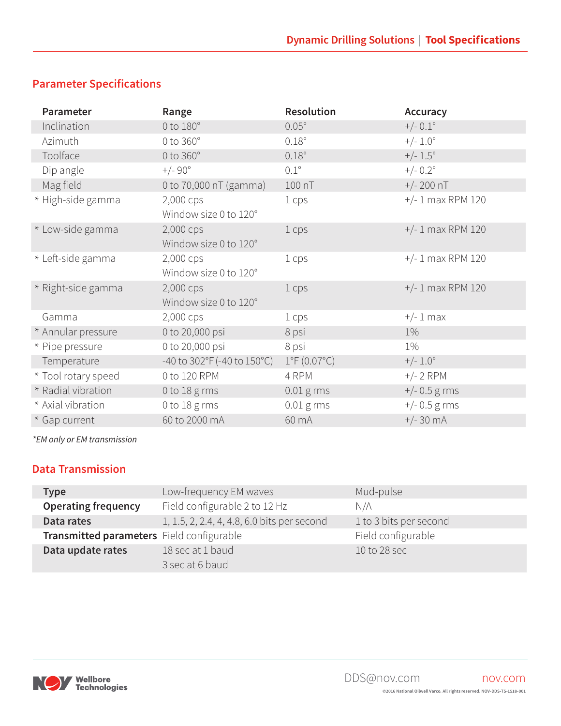# **Parameter Specifications**

| Parameter           | Range                                               | <b>Resolution</b>           | <b>Accuracy</b>     |
|---------------------|-----------------------------------------------------|-----------------------------|---------------------|
| Inclination         | $0$ to $180^\circ$                                  | $0.05^\circ$                | $+/- 0.1^{\circ}$   |
| Azimuth             | $0$ to $360^\circ$                                  | $0.18^\circ$                | $+/- 1.0^{\circ}$   |
| Toolface            | 0 to 360°                                           | $0.18^\circ$                | $+/- 1.5^{\circ}$   |
| Dip angle           | $+/-90^{\circ}$                                     | $0.1^\circ$                 | $+/- 0.2^{\circ}$   |
| Mag field           | 0 to 70,000 nT (gamma)                              | 100 nT                      | $+/- 200$ nT        |
| * High-side gamma   | 2,000 cps                                           | 1 cps                       | $+/- 1$ max RPM 120 |
|                     | Window size 0 to 120°                               |                             |                     |
| * Low-side gamma    | 2,000 cps                                           | 1 cps                       | $+/- 1$ max RPM 120 |
|                     | Window size 0 to 120°                               |                             |                     |
| * Left-side gamma   | 2,000 cps                                           | 1 cps                       | $+/- 1$ max RPM 120 |
|                     | Window size 0 to 120°                               |                             |                     |
| * Right-side gamma  | 2,000 cps                                           | 1 cps                       | $+/- 1$ max RPM 120 |
|                     | Window size 0 to 120°                               |                             |                     |
| Gamma               | 2,000 cps                                           | 1 cps                       | $+/- 1$ max         |
| * Annular pressure  | 0 to 20,000 psi                                     | 8 psi                       | $1\%$               |
| * Pipe pressure     | 0 to 20,000 psi                                     | 8 psi                       | $1\%$               |
| Temperature         | -40 to $302^{\circ}F(-40 \text{ to } 150^{\circ}C)$ | $1^{\circ}F(0.07^{\circ}C)$ | $+/- 1.0^{\circ}$   |
| * Tool rotary speed | 0 to 120 RPM                                        | 4 RPM                       | $+/- 2$ RPM         |
| * Radial vibration  | 0 to $18 \text{ g}$ rms                             | $0.01$ g rms                | $+/- 0.5$ g rms     |
| * Axial vibration   | 0 to 18 g rms                                       | $0.01$ g rms                | $+/- 0.5$ g rms     |
| * Gap current       | 60 to 2000 mA                                       | 60 mA                       | $+/- 30 mA$         |

*\*EM only or EM transmission*

### **Data Transmission**

| <b>Type</b>                               | Low-frequency EM waves                      | Mud-pulse              |
|-------------------------------------------|---------------------------------------------|------------------------|
| <b>Operating frequency</b>                | Field configurable 2 to 12 Hz               | N/A                    |
| Data rates                                | 1, 1.5, 2, 2.4, 4, 4.8, 6.0 bits per second | 1 to 3 bits per second |
| Transmitted parameters Field configurable |                                             | Field configurable     |
| Data update rates                         | 18 sec at 1 baud                            | 10 to 28 sec           |
|                                           | 3 sec at 6 baud                             |                        |